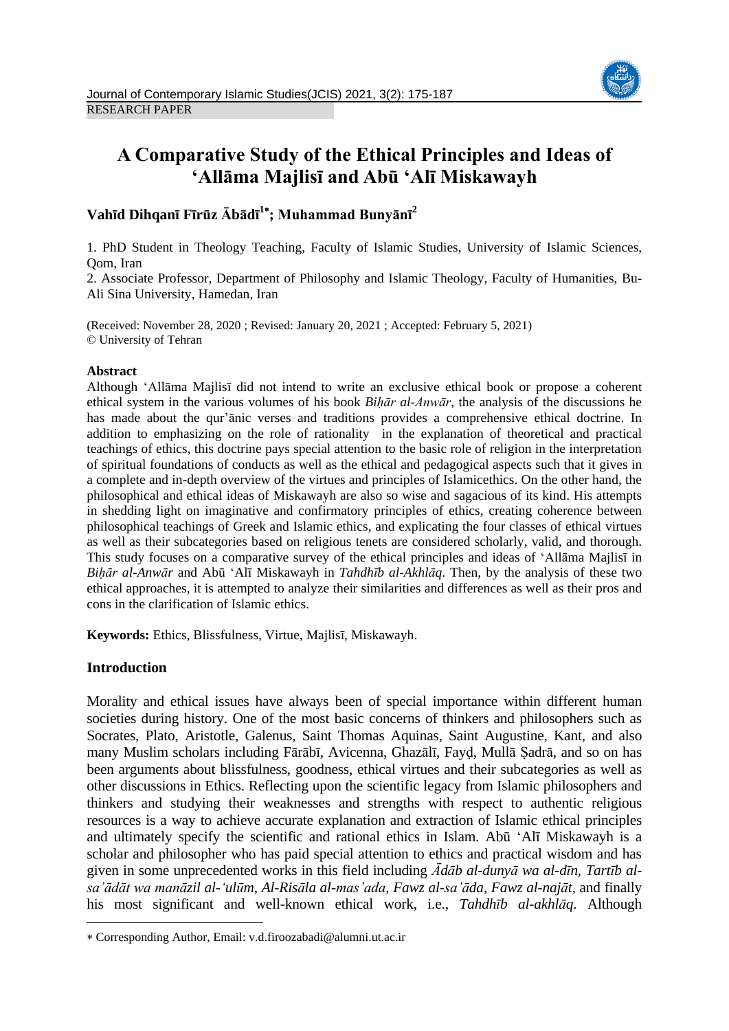

# **A Comparative Study of the Ethical Principles and Ideas of 'Allāma Majlisī and Abū 'Alī Miskawayh**

## **Vahīd Dihqanī Fīrūz Ābādī 1 ; Muhammad Bunyānī<sup>2</sup>**

1. PhD Student in Theology Teaching, Faculty of Islamic Studies, University of Islamic Sciences, Qom, Iran

2. Associate Professor, Department of Philosophy and Islamic Theology, Faculty of Humanities, Bu-Ali Sina University, Hamedan, Iran

(Received: November 28, 2020 ; Revised: January 20, 2021 ; Accepted: February 5, 2021) © University of Tehran

## **Abstract**

Although 'Allāma Majlisī did not intend to write an exclusive ethical book or propose a coherent ethical system in the various volumes of his book *Biḥār al-Anwār*, the analysis of the discussions he has made about the qur'ānic verses and traditions provides a comprehensive ethical doctrine. In addition to emphasizing on the role of rationality in the explanation of theoretical and practical teachings of ethics, this doctrine pays special attention to the basic role of religion in the interpretation of spiritual foundations of conducts as well as the ethical and pedagogical aspects such that it gives in a complete and in-depth overview of the virtues and principles of Islamicethics. On the other hand, the philosophical and ethical ideas of Miskawayh are also so wise and sagacious of its kind. His attempts in shedding light on imaginative and confirmatory principles of ethics, creating coherence between philosophical teachings of Greek and Islamic ethics, and explicating the four classes of ethical virtues as well as their subcategories based on religious tenets are considered scholarly, valid, and thorough. This study focuses on a comparative survey of the ethical principles and ideas of 'Allāma Majlisī in *Biḥār al-Anwār* and Abū 'Alī Miskawayh in *Tahdhīb al-Akhlāq*. Then, by the analysis of these two ethical approaches, it is attempted to analyze their similarities and differences as well as their pros and cons in the clarification of Islamic ethics.

**Keywords:** Ethics, Blissfulness, Virtue, Majlisī, Miskawayh.

## **Introduction**

**.** 

Morality and ethical issues have always been of special importance within different human societies during history. One of the most basic concerns of thinkers and philosophers such as Socrates, Plato, Aristotle, Galenus, Saint Thomas Aquinas, Saint Augustine, Kant, and also many Muslim scholars including Fārābī, Avicenna, Ghazālī, Fayḍ, Mullā Ṣadrā, and so on has been arguments about blissfulness, goodness, ethical virtues and their subcategories as well as other discussions in Ethics. Reflecting upon the scientific legacy from Islamic philosophers and thinkers and studying their weaknesses and strengths with respect to authentic religious resources is a way to achieve accurate explanation and extraction of Islamic ethical principles and ultimately specify the scientific and rational ethics in Islam. Abū 'Alī Miskawayh is a scholar and philosopher who has paid special attention to ethics and practical wisdom and has given in some unprecedented works in this field including *Ādāb al-dunyā wa al-dīn, Tartīb alsa'ādāt wa manāzil al-'ulūm*, *Al-Risāla al-mas'ada*, *Fawz al-sa'āda, Fawz al-najāt*, and finally his most significant and well-known ethical work, i.e., *Tahdhīb al-akhlāq*. Although

Corresponding Author, Email: v.d.firoozabadi@alumni.ut.ac.ir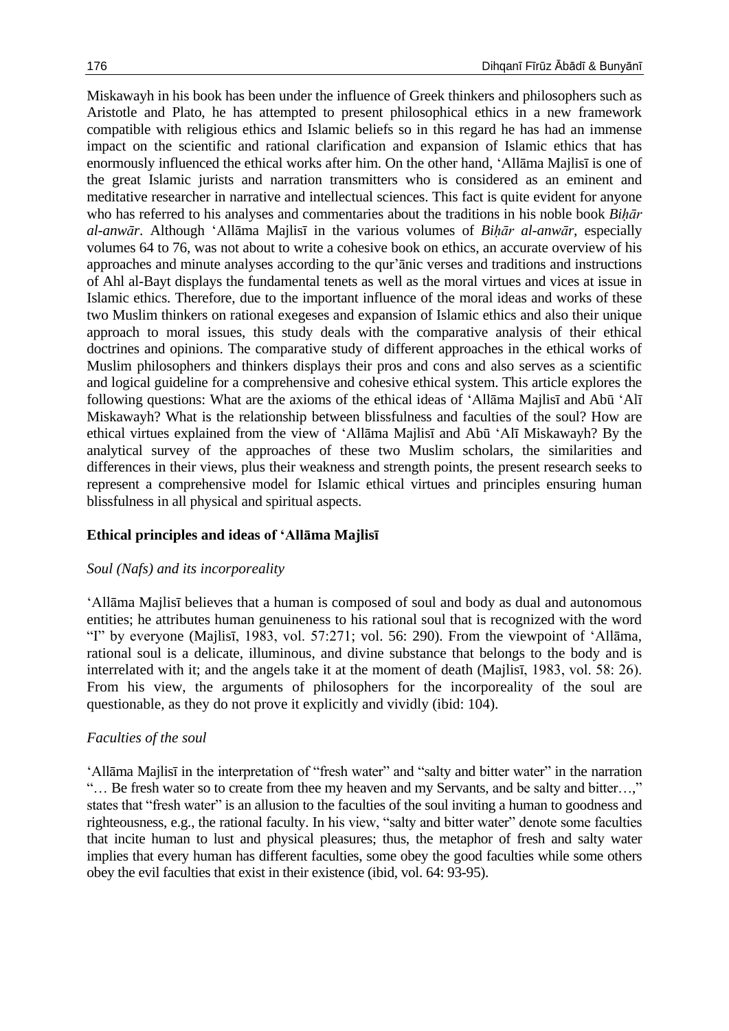Miskawayh in his book has been under the influence of Greek thinkers and philosophers such as Aristotle and Plato, he has attempted to present philosophical ethics in a new framework compatible with religious ethics and Islamic beliefs so in this regard he has had an immense impact on the scientific and rational clarification and expansion of Islamic ethics that has enormously influenced the ethical works after him. On the other hand, 'Allāma Majlisī is one of the great Islamic jurists and narration transmitters who is considered as an eminent and meditative researcher in narrative and intellectual sciences. This fact is quite evident for anyone who has referred to his analyses and commentaries about the traditions in his noble book *Biḥār al-anwār*. Although 'Allāma Majlisī in the various volumes of *Biḥār al-anwār*, especially volumes 64 to 76, was not about to write a cohesive book on ethics, an accurate overview of his approaches and minute analyses according to the qur'ānic verses and traditions and instructions of Ahl al-Bayt displays the fundamental tenets as well as the moral virtues and vices at issue in Islamic ethics. Therefore, due to the important influence of the moral ideas and works of these two Muslim thinkers on rational exegeses and expansion of Islamic ethics and also their unique approach to moral issues, this study deals with the comparative analysis of their ethical doctrines and opinions. The comparative study of different approaches in the ethical works of Muslim philosophers and thinkers displays their pros and cons and also serves as a scientific and logical guideline for a comprehensive and cohesive ethical system. This article explores the following questions: What are the axioms of the ethical ideas of 'Allāma Majlisī and Abū 'Alī Miskawayh? What is the relationship between blissfulness and faculties of the soul? How are ethical virtues explained from the view of 'Allāma Majlisī and Abū 'Alī Miskawayh? By the analytical survey of the approaches of these two Muslim scholars, the similarities and differences in their views, plus their weakness and strength points, the present research seeks to represent a comprehensive model for Islamic ethical virtues and principles ensuring human blissfulness in all physical and spiritual aspects.

#### **Ethical principles and ideas of 'Allāma Majlisī**

#### *Soul (Nafs) and its incorporeality*

'Allāma Majlisī believes that a human is composed of soul and body as dual and autonomous entities; he attributes human genuineness to his rational soul that is recognized with the word "I" by everyone (Majlisī, 1983, vol. 57:271; vol. 56: 290). From the viewpoint of 'Allāma, rational soul is a delicate, illuminous, and divine substance that belongs to the body and is interrelated with it; and the angels take it at the moment of death (Majlisī, 1983, vol. 58: 26). From his view, the arguments of philosophers for the incorporeality of the soul are questionable, as they do not prove it explicitly and vividly (ibid: 104).

#### *Faculties of the soul*

'Allāma Majlisī in the interpretation of "fresh water" and "salty and bitter water" in the narration "… Be fresh water so to create from thee my heaven and my Servants, and be salty and bitter…," states that "fresh water" is an allusion to the faculties of the soul inviting a human to goodness and righteousness, e.g., the rational faculty. In his view, "salty and bitter water" denote some faculties that incite human to lust and physical pleasures; thus, the metaphor of fresh and salty water implies that every human has different faculties, some obey the good faculties while some others obey the evil faculties that exist in their existence (ibid, vol. 64: 93-95).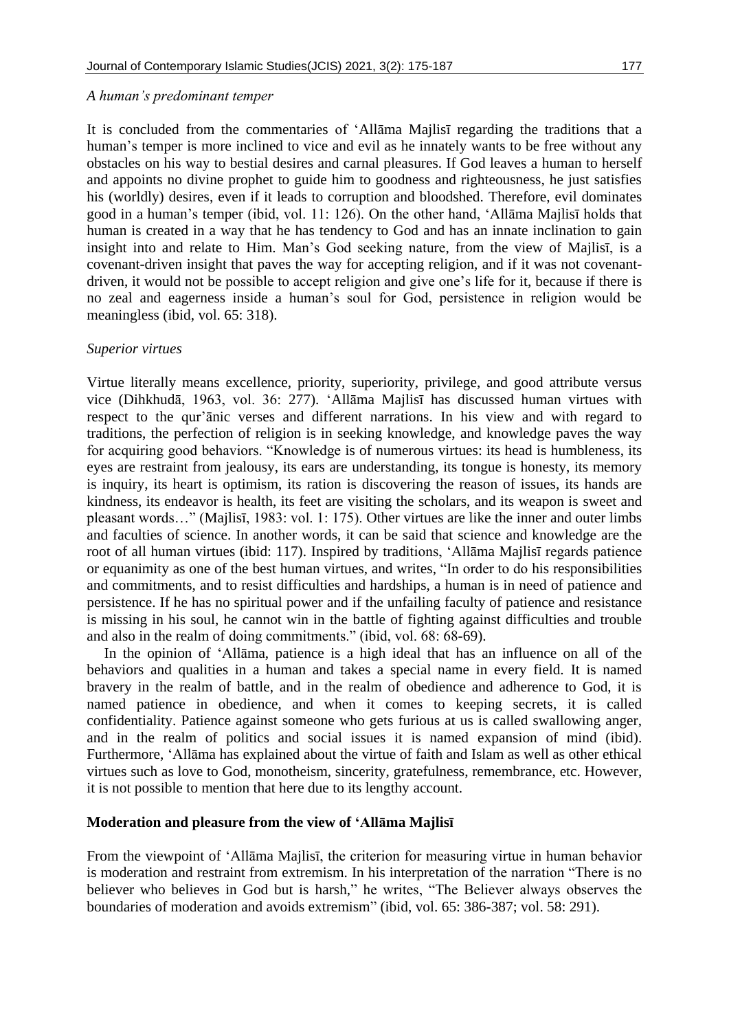#### *A human's predominant temper*

It is concluded from the commentaries of 'Allāma Majlisī regarding the traditions that a human's temper is more inclined to vice and evil as he innately wants to be free without any obstacles on his way to bestial desires and carnal pleasures. If God leaves a human to herself and appoints no divine prophet to guide him to goodness and righteousness, he just satisfies his (worldly) desires, even if it leads to corruption and bloodshed. Therefore, evil dominates good in a human's temper (ibid, vol. 11: 126). On the other hand, 'Allāma Majlisī holds that human is created in a way that he has tendency to God and has an innate inclination to gain insight into and relate to Him. Man's God seeking nature, from the view of Majlisī, is a covenant-driven insight that paves the way for accepting religion, and if it was not covenantdriven, it would not be possible to accept religion and give one's life for it, because if there is no zeal and eagerness inside a human's soul for God, persistence in religion would be meaningless (ibid, vol. 65: 318).

## *Superior virtues*

Virtue literally means excellence, priority, superiority, privilege, and good attribute versus vice (Dihkhudā, 1963, vol. 36: 277). 'Allāma Majlisī has discussed human virtues with respect to the qur'ānic verses and different narrations. In his view and with regard to traditions, the perfection of religion is in seeking knowledge, and knowledge paves the way for acquiring good behaviors. "Knowledge is of numerous virtues: its head is humbleness, its eyes are restraint from jealousy, its ears are understanding, its tongue is honesty, its memory is inquiry, its heart is optimism, its ration is discovering the reason of issues, its hands are kindness, its endeavor is health, its feet are visiting the scholars, and its weapon is sweet and pleasant words…" (Majlisī, 1983: vol. 1: 175). Other virtues are like the inner and outer limbs and faculties of science. In another words, it can be said that science and knowledge are the root of all human virtues (ibid: 117). Inspired by traditions, 'Allāma Majlisī regards patience or equanimity as one of the best human virtues, and writes, "In order to do his responsibilities and commitments, and to resist difficulties and hardships, a human is in need of patience and persistence. If he has no spiritual power and if the unfailing faculty of patience and resistance is missing in his soul, he cannot win in the battle of fighting against difficulties and trouble and also in the realm of doing commitments." (ibid, vol. 68: 68-69).

In the opinion of 'Allāma, patience is a high ideal that has an influence on all of the behaviors and qualities in a human and takes a special name in every field. It is named bravery in the realm of battle, and in the realm of obedience and adherence to God, it is named patience in obedience, and when it comes to keeping secrets, it is called confidentiality. Patience against someone who gets furious at us is called swallowing anger, and in the realm of politics and social issues it is named expansion of mind (ibid). Furthermore, 'Allāma has explained about the virtue of faith and Islam as well as other ethical virtues such as love to God, monotheism, sincerity, gratefulness, remembrance, etc. However, it is not possible to mention that here due to its lengthy account.

#### **Moderation and pleasure from the view of 'Allāma Majlisī**

From the viewpoint of 'Allāma Majlisī, the criterion for measuring virtue in human behavior is moderation and restraint from extremism. In his interpretation of the narration "There is no believer who believes in God but is harsh," he writes, "The Believer always observes the boundaries of moderation and avoids extremism" (ibid, vol. 65: 386-387; vol. 58: 291).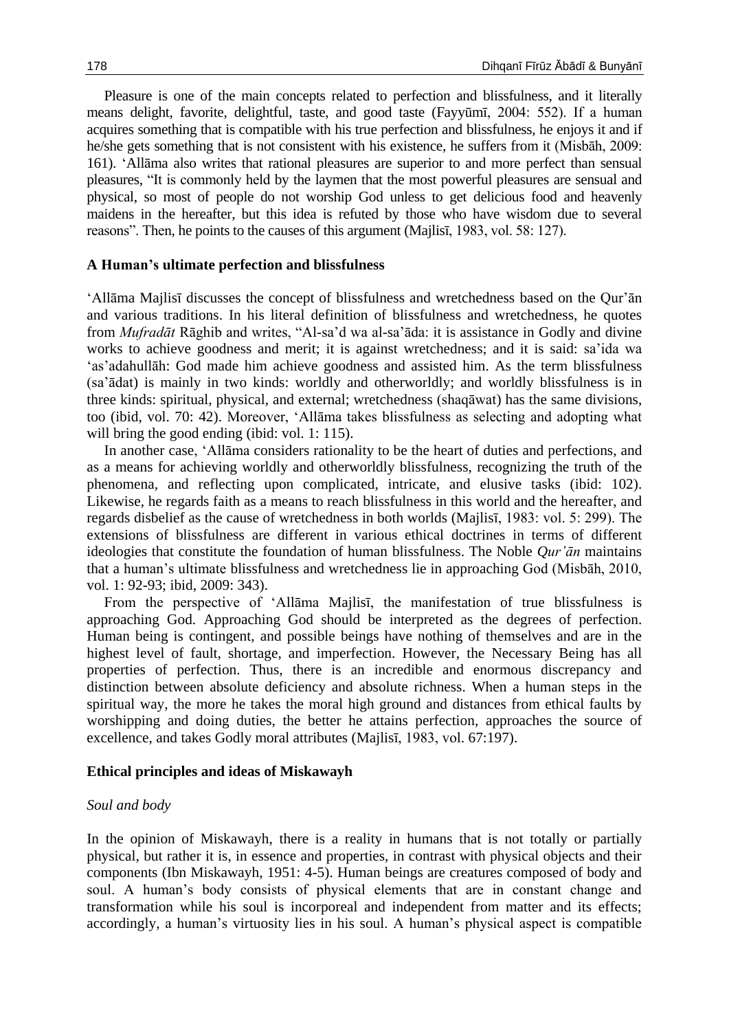Pleasure is one of the main concepts related to perfection and blissfulness, and it literally means delight, favorite, delightful, taste, and good taste (Fayyūmī, 2004: 552). If a human acquires something that is compatible with his true perfection and blissfulness, he enjoys it and if he/she gets something that is not consistent with his existence, he suffers from it (Misbāh, 2009: 161). 'Allāma also writes that rational pleasures are superior to and more perfect than sensual pleasures, "It is commonly held by the laymen that the most powerful pleasures are sensual and physical, so most of people do not worship God unless to get delicious food and heavenly maidens in the hereafter, but this idea is refuted by those who have wisdom due to several reasons". Then, he points to the causes of this argument (Majlisī, 1983, vol. 58: 127).

## **A Human's ultimate perfection and blissfulness**

'Allāma Majlisī discusses the concept of blissfulness and wretchedness based on the Qur'ān and various traditions. In his literal definition of blissfulness and wretchedness, he quotes from *Mufradāt* Rāghib and writes, "Al-sa'd wa al-sa'āda: it is assistance in Godly and divine works to achieve goodness and merit; it is against wretchedness; and it is said: sa'ida wa 'as'adahullāh: God made him achieve goodness and assisted him. As the term blissfulness (sa'ādat) is mainly in two kinds: worldly and otherworldly; and worldly blissfulness is in three kinds: spiritual, physical, and external; wretchedness (shaqāwat) has the same divisions, too (ibid, vol. 70: 42). Moreover, 'Allāma takes blissfulness as selecting and adopting what will bring the good ending (ibid: vol. 1: 115).

In another case, 'Allāma considers rationality to be the heart of duties and perfections, and as a means for achieving worldly and otherworldly blissfulness, recognizing the truth of the phenomena, and reflecting upon complicated, intricate, and elusive tasks (ibid: 102). Likewise, he regards faith as a means to reach blissfulness in this world and the hereafter, and regards disbelief as the cause of wretchedness in both worlds (Majlisī, 1983: vol. 5: 299). The extensions of blissfulness are different in various ethical doctrines in terms of different ideologies that constitute the foundation of human blissfulness. The Noble *Qur'ān* maintains that a human's ultimate blissfulness and wretchedness lie in approaching God (Misbāh, 2010, vol. 1: 92-93; ibid, 2009: 343).

From the perspective of 'Allāma Majlisī, the manifestation of true blissfulness is approaching God. Approaching God should be interpreted as the degrees of perfection. Human being is contingent, and possible beings have nothing of themselves and are in the highest level of fault, shortage, and imperfection. However, the Necessary Being has all properties of perfection. Thus, there is an incredible and enormous discrepancy and distinction between absolute deficiency and absolute richness. When a human steps in the spiritual way, the more he takes the moral high ground and distances from ethical faults by worshipping and doing duties, the better he attains perfection, approaches the source of excellence, and takes Godly moral attributes (Majlisī, 1983, vol. 67:197).

#### **Ethical principles and ideas of Miskawayh**

#### *Soul and body*

In the opinion of Miskawayh, there is a reality in humans that is not totally or partially physical, but rather it is, in essence and properties, in contrast with physical objects and their components (Ibn Miskawayh, 1951: 4-5). Human beings are creatures composed of body and soul. A human's body consists of physical elements that are in constant change and transformation while his soul is incorporeal and independent from matter and its effects; accordingly, a human's virtuosity lies in his soul. A human's physical aspect is compatible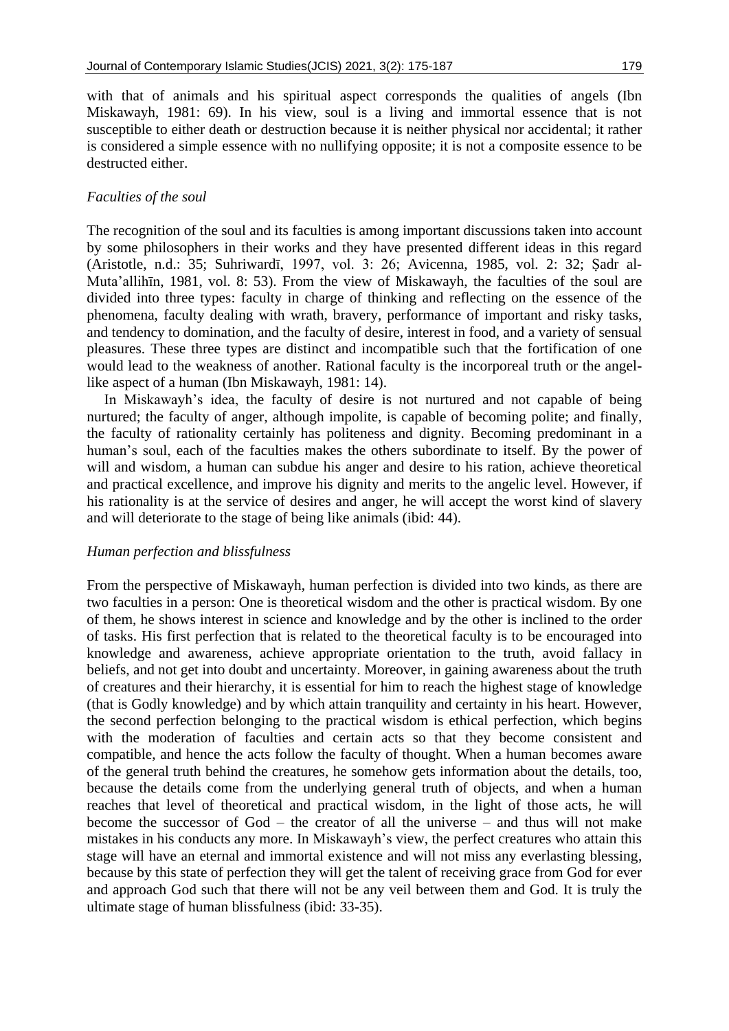with that of animals and his spiritual aspect corresponds the qualities of angels (Ibn Miskawayh, 1981: 69). In his view, soul is a living and immortal essence that is not susceptible to either death or destruction because it is neither physical nor accidental; it rather is considered a simple essence with no nullifying opposite; it is not a composite essence to be destructed either.

## *Faculties of the soul*

The recognition of the soul and its faculties is among important discussions taken into account by some philosophers in their works and they have presented different ideas in this regard (Aristotle, n.d.: 35; Suhriwardī, 1997, vol. 3: 26; Avicenna, 1985, vol. 2: 32; Ṣadr al-Muta'allihīn, 1981, vol. 8: 53). From the view of Miskawayh, the faculties of the soul are divided into three types: faculty in charge of thinking and reflecting on the essence of the phenomena, faculty dealing with wrath, bravery, performance of important and risky tasks, and tendency to domination, and the faculty of desire, interest in food, and a variety of sensual pleasures. These three types are distinct and incompatible such that the fortification of one would lead to the weakness of another. Rational faculty is the incorporeal truth or the angellike aspect of a human (Ibn Miskawayh, 1981: 14).

In Miskawayh's idea, the faculty of desire is not nurtured and not capable of being nurtured; the faculty of anger, although impolite, is capable of becoming polite; and finally, the faculty of rationality certainly has politeness and dignity. Becoming predominant in a human's soul, each of the faculties makes the others subordinate to itself. By the power of will and wisdom, a human can subdue his anger and desire to his ration, achieve theoretical and practical excellence, and improve his dignity and merits to the angelic level. However, if his rationality is at the service of desires and anger, he will accept the worst kind of slavery and will deteriorate to the stage of being like animals (ibid: 44).

## *Human perfection and blissfulness*

From the perspective of Miskawayh, human perfection is divided into two kinds, as there are two faculties in a person: One is theoretical wisdom and the other is practical wisdom. By one of them, he shows interest in science and knowledge and by the other is inclined to the order of tasks. His first perfection that is related to the theoretical faculty is to be encouraged into knowledge and awareness, achieve appropriate orientation to the truth, avoid fallacy in beliefs, and not get into doubt and uncertainty. Moreover, in gaining awareness about the truth of creatures and their hierarchy, it is essential for him to reach the highest stage of knowledge (that is Godly knowledge) and by which attain tranquility and certainty in his heart. However, the second perfection belonging to the practical wisdom is ethical perfection, which begins with the moderation of faculties and certain acts so that they become consistent and compatible, and hence the acts follow the faculty of thought. When a human becomes aware of the general truth behind the creatures, he somehow gets information about the details, too, because the details come from the underlying general truth of objects, and when a human reaches that level of theoretical and practical wisdom, in the light of those acts, he will become the successor of God – the creator of all the universe – and thus will not make mistakes in his conducts any more. In Miskawayh's view, the perfect creatures who attain this stage will have an eternal and immortal existence and will not miss any everlasting blessing, because by this state of perfection they will get the talent of receiving grace from God for ever and approach God such that there will not be any veil between them and God. It is truly the ultimate stage of human blissfulness (ibid: 33-35).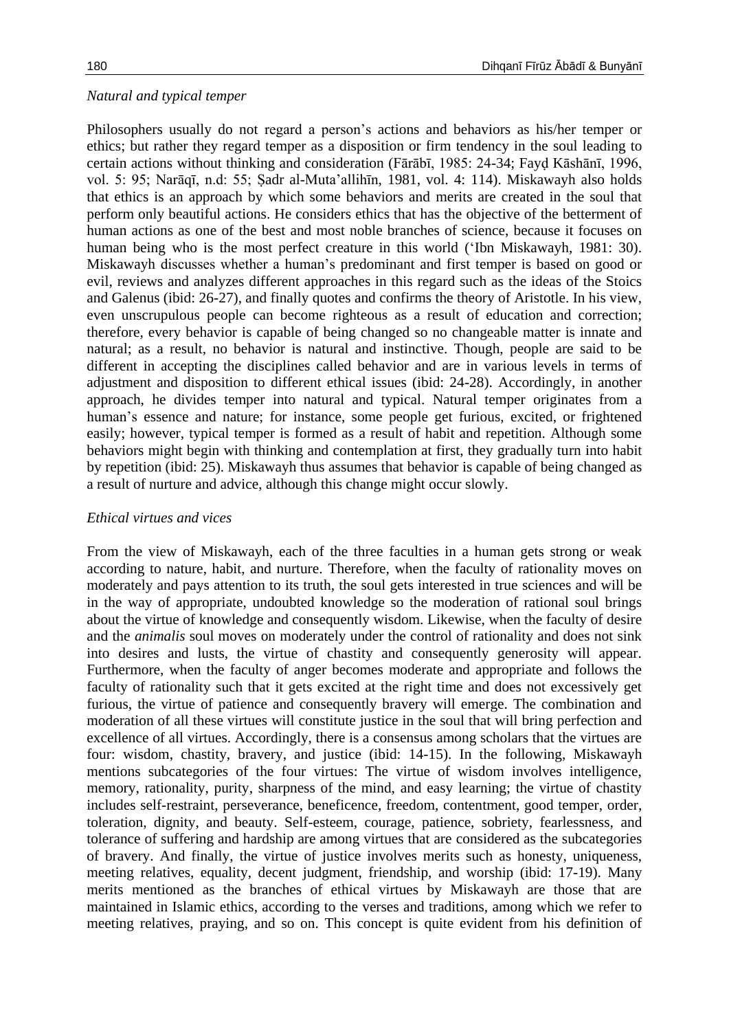## *Natural and typical temper*

Philosophers usually do not regard a person's actions and behaviors as his/her temper or ethics; but rather they regard temper as a disposition or firm tendency in the soul leading to certain actions without thinking and consideration (Fārābī, 1985: 24-34; Fayḍ Kāshānī, 1996, vol. 5: 95; Narāqī, n.d: 55; Ṣadr al-Muta'allihīn, 1981, vol. 4: 114). Miskawayh also holds that ethics is an approach by which some behaviors and merits are created in the soul that perform only beautiful actions. He considers ethics that has the objective of the betterment of human actions as one of the best and most noble branches of science, because it focuses on human being who is the most perfect creature in this world ('Ibn Miskawayh, 1981: 30). Miskawayh discusses whether a human's predominant and first temper is based on good or evil, reviews and analyzes different approaches in this regard such as the ideas of the Stoics and Galenus (ibid: 26-27), and finally quotes and confirms the theory of Aristotle. In his view, even unscrupulous people can become righteous as a result of education and correction; therefore, every behavior is capable of being changed so no changeable matter is innate and natural; as a result, no behavior is natural and instinctive. Though, people are said to be different in accepting the disciplines called behavior and are in various levels in terms of adjustment and disposition to different ethical issues (ibid: 24-28). Accordingly, in another approach, he divides temper into natural and typical. Natural temper originates from a human's essence and nature; for instance, some people get furious, excited, or frightened easily; however, typical temper is formed as a result of habit and repetition. Although some behaviors might begin with thinking and contemplation at first, they gradually turn into habit by repetition (ibid: 25). Miskawayh thus assumes that behavior is capable of being changed as a result of nurture and advice, although this change might occur slowly.

## *Ethical virtues and vices*

From the view of Miskawayh, each of the three faculties in a human gets strong or weak according to nature, habit, and nurture. Therefore, when the faculty of rationality moves on moderately and pays attention to its truth, the soul gets interested in true sciences and will be in the way of appropriate, undoubted knowledge so the moderation of rational soul brings about the virtue of knowledge and consequently wisdom. Likewise, when the faculty of desire and the *animalis* soul moves on moderately under the control of rationality and does not sink into desires and lusts, the virtue of chastity and consequently generosity will appear. Furthermore, when the faculty of anger becomes moderate and appropriate and follows the faculty of rationality such that it gets excited at the right time and does not excessively get furious, the virtue of patience and consequently bravery will emerge. The combination and moderation of all these virtues will constitute justice in the soul that will bring perfection and excellence of all virtues. Accordingly, there is a consensus among scholars that the virtues are four: wisdom, chastity, bravery, and justice (ibid: 14-15). In the following, Miskawayh mentions subcategories of the four virtues: The virtue of wisdom involves intelligence, memory, rationality, purity, sharpness of the mind, and easy learning; the virtue of chastity includes self-restraint, perseverance, beneficence, freedom, contentment, good temper, order, toleration, dignity, and beauty. Self-esteem, courage, patience, sobriety, fearlessness, and tolerance of suffering and hardship are among virtues that are considered as the subcategories of bravery. And finally, the virtue of justice involves merits such as honesty, uniqueness, meeting relatives, equality, decent judgment, friendship, and worship (ibid: 17-19). Many merits mentioned as the branches of ethical virtues by Miskawayh are those that are maintained in Islamic ethics, according to the verses and traditions, among which we refer to meeting relatives, praying, and so on. This concept is quite evident from his definition of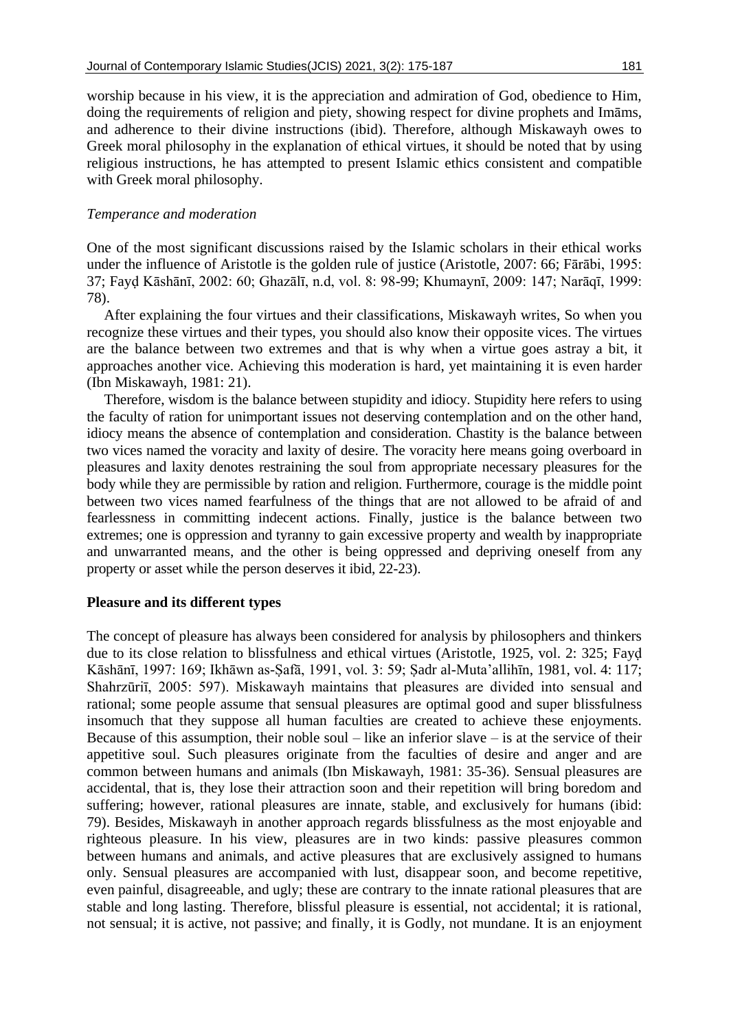## *Temperance and moderation*

One of the most significant discussions raised by the Islamic scholars in their ethical works under the influence of Aristotle is the golden rule of justice (Aristotle, 2007: 66; Fārābi, 1995: 37; Fayḍ Kāshānī, 2002: 60; Ghazālī, n.d, vol. 8: 98-99; Khumaynī, 2009: 147; Narāqī, 1999: 78).

After explaining the four virtues and their classifications, Miskawayh writes, So when you recognize these virtues and their types, you should also know their opposite vices. The virtues are the balance between two extremes and that is why when a virtue goes astray a bit, it approaches another vice. Achieving this moderation is hard, yet maintaining it is even harder (Ibn Miskawayh, 1981: 21).

Therefore, wisdom is the balance between stupidity and idiocy. Stupidity here refers to using the faculty of ration for unimportant issues not deserving contemplation and on the other hand, idiocy means the absence of contemplation and consideration. Chastity is the balance between two vices named the voracity and laxity of desire. The voracity here means going overboard in pleasures and laxity denotes restraining the soul from appropriate necessary pleasures for the body while they are permissible by ration and religion. Furthermore, courage is the middle point between two vices named fearfulness of the things that are not allowed to be afraid of and fearlessness in committing indecent actions. Finally, justice is the balance between two extremes; one is oppression and tyranny to gain excessive property and wealth by inappropriate and unwarranted means, and the other is being oppressed and depriving oneself from any property or asset while the person deserves it ibid, 22-23).

## **Pleasure and its different types**

The concept of pleasure has always been considered for analysis by philosophers and thinkers due to its close relation to blissfulness and ethical virtues (Aristotle, 1925, vol. 2: 325; Fayḍ Kāshānī, 1997: 169; Ikhāwn as-Ṣafā, 1991, vol. 3: 59; Ṣadr al-Muta'allihīn, 1981, vol. 4: 117; Shahrzūriī, 2005: 597). Miskawayh maintains that pleasures are divided into sensual and rational; some people assume that sensual pleasures are optimal good and super blissfulness insomuch that they suppose all human faculties are created to achieve these enjoyments. Because of this assumption, their noble soul – like an inferior slave – is at the service of their appetitive soul. Such pleasures originate from the faculties of desire and anger and are common between humans and animals (Ibn Miskawayh, 1981: 35-36). Sensual pleasures are accidental, that is, they lose their attraction soon and their repetition will bring boredom and suffering; however, rational pleasures are innate, stable, and exclusively for humans (ibid: 79). Besides, Miskawayh in another approach regards blissfulness as the most enjoyable and righteous pleasure. In his view, pleasures are in two kinds: passive pleasures common between humans and animals, and active pleasures that are exclusively assigned to humans only. Sensual pleasures are accompanied with lust, disappear soon, and become repetitive, even painful, disagreeable, and ugly; these are contrary to the innate rational pleasures that are stable and long lasting. Therefore, blissful pleasure is essential, not accidental; it is rational, not sensual; it is active, not passive; and finally, it is Godly, not mundane. It is an enjoyment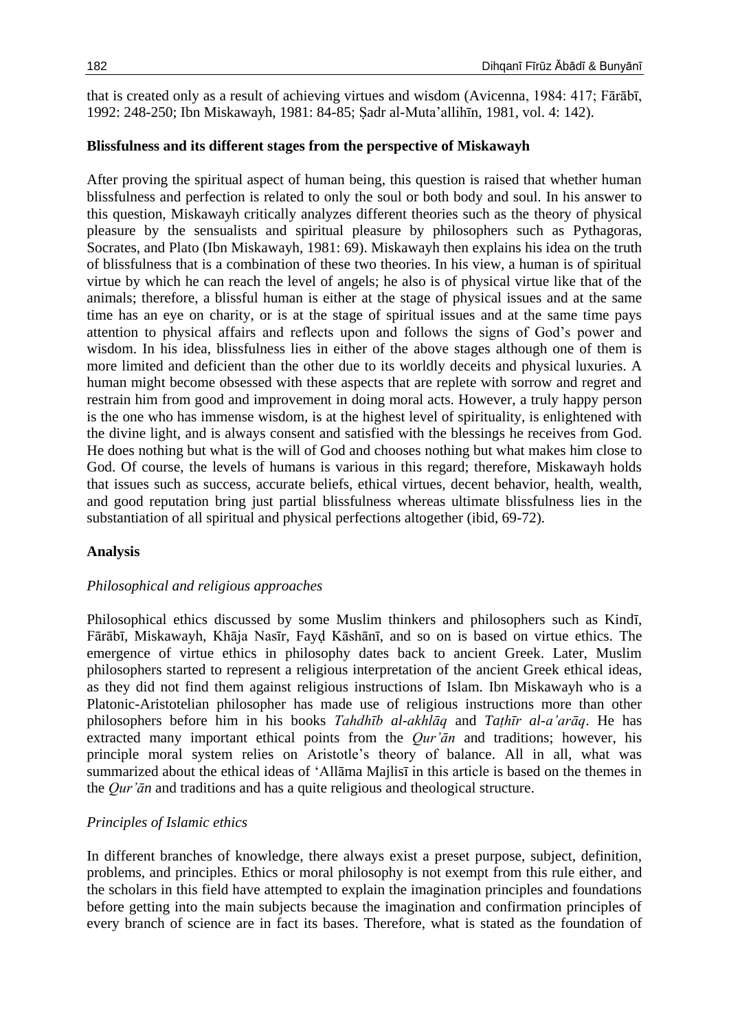that is created only as a result of achieving virtues and wisdom (Avicenna, 1984: 417; Fārābī, 1992: 248-250; Ibn Miskawayh, 1981: 84-85; Ṣadr al-Muta'allihīn, 1981, vol. 4: 142).

## **Blissfulness and its different stages from the perspective of Miskawayh**

After proving the spiritual aspect of human being, this question is raised that whether human blissfulness and perfection is related to only the soul or both body and soul. In his answer to this question, Miskawayh critically analyzes different theories such as the theory of physical pleasure by the sensualists and spiritual pleasure by philosophers such as Pythagoras, Socrates, and Plato (Ibn Miskawayh, 1981: 69). Miskawayh then explains his idea on the truth of blissfulness that is a combination of these two theories. In his view, a human is of spiritual virtue by which he can reach the level of angels; he also is of physical virtue like that of the animals; therefore, a blissful human is either at the stage of physical issues and at the same time has an eye on charity, or is at the stage of spiritual issues and at the same time pays attention to physical affairs and reflects upon and follows the signs of God's power and wisdom. In his idea, blissfulness lies in either of the above stages although one of them is more limited and deficient than the other due to its worldly deceits and physical luxuries. A human might become obsessed with these aspects that are replete with sorrow and regret and restrain him from good and improvement in doing moral acts. However, a truly happy person is the one who has immense wisdom, is at the highest level of spirituality, is enlightened with the divine light, and is always consent and satisfied with the blessings he receives from God. He does nothing but what is the will of God and chooses nothing but what makes him close to God. Of course, the levels of humans is various in this regard; therefore, Miskawayh holds that issues such as success, accurate beliefs, ethical virtues, decent behavior, health, wealth, and good reputation bring just partial blissfulness whereas ultimate blissfulness lies in the substantiation of all spiritual and physical perfections altogether (ibid, 69-72).

## **Analysis**

## *Philosophical and religious approaches*

Philosophical ethics discussed by some Muslim thinkers and philosophers such as Kindī, Fārābī, Miskawayh, Khāja Nasīr, Fayḍ Kāshānī, and so on is based on virtue ethics. The emergence of virtue ethics in philosophy dates back to ancient Greek. Later, Muslim philosophers started to represent a religious interpretation of the ancient Greek ethical ideas, as they did not find them against religious instructions of Islam. Ibn Miskawayh who is a Platonic-Aristotelian philosopher has made use of religious instructions more than other philosophers before him in his books *Tahdhīb al-akhlāq* and *Taṭhīr al-a'arāq*. He has extracted many important ethical points from the *Qur'ān* and traditions; however, his principle moral system relies on Aristotle's theory of balance. All in all, what was summarized about the ethical ideas of 'Allāma Majlisī in this article is based on the themes in the *Qur'ān* and traditions and has a quite religious and theological structure.

## *Principles of Islamic ethics*

In different branches of knowledge, there always exist a preset purpose, subject, definition, problems, and principles. Ethics or moral philosophy is not exempt from this rule either, and the scholars in this field have attempted to explain the imagination principles and foundations before getting into the main subjects because the imagination and confirmation principles of every branch of science are in fact its bases. Therefore, what is stated as the foundation of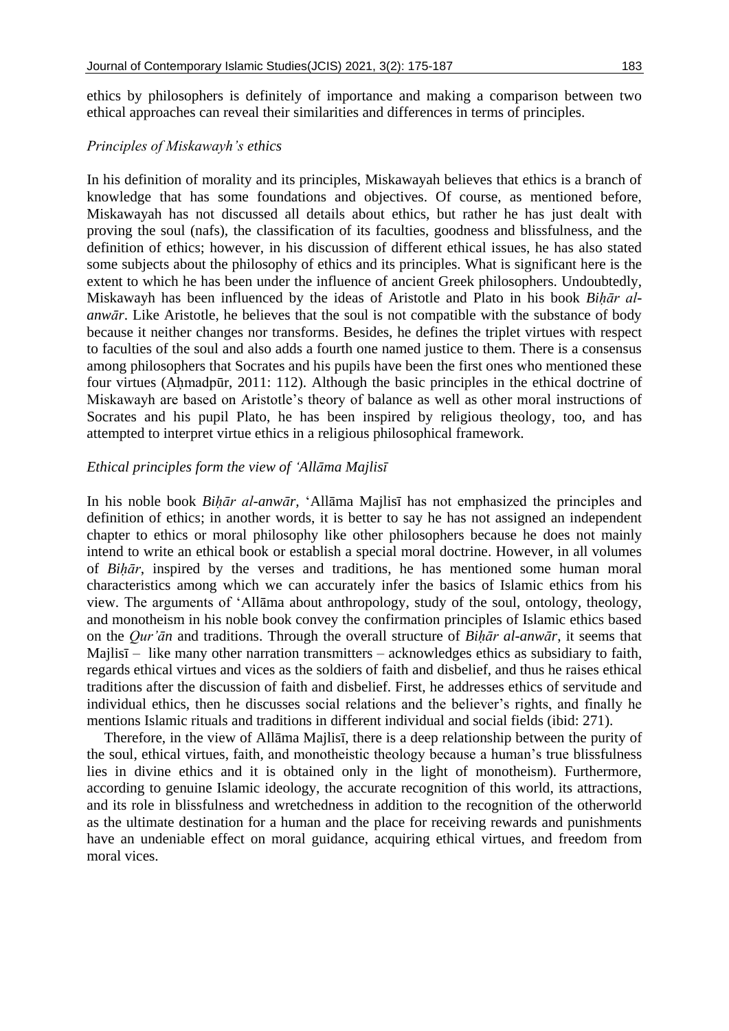ethics by philosophers is definitely of importance and making a comparison between two ethical approaches can reveal their similarities and differences in terms of principles.

## *Principles of Miskawayh's ethics*

In his definition of morality and its principles, Miskawayah believes that ethics is a branch of knowledge that has some foundations and objectives. Of course, as mentioned before, Miskawayah has not discussed all details about ethics, but rather he has just dealt with proving the soul (nafs), the classification of its faculties, goodness and blissfulness, and the definition of ethics; however, in his discussion of different ethical issues, he has also stated some subjects about the philosophy of ethics and its principles. What is significant here is the extent to which he has been under the influence of ancient Greek philosophers. Undoubtedly, Miskawayh has been influenced by the ideas of Aristotle and Plato in his book *Biḥār alanwār*. Like Aristotle, he believes that the soul is not compatible with the substance of body because it neither changes nor transforms. Besides, he defines the triplet virtues with respect to faculties of the soul and also adds a fourth one named justice to them. There is a consensus among philosophers that Socrates and his pupils have been the first ones who mentioned these four virtues (Aḥmadpūr, 2011: 112). Although the basic principles in the ethical doctrine of Miskawayh are based on Aristotle's theory of balance as well as other moral instructions of Socrates and his pupil Plato, he has been inspired by religious theology, too, and has attempted to interpret virtue ethics in a religious philosophical framework.

## *Ethical principles form the view of 'Allāma Majlisī*

In his noble book *Biḥār al-anwār,* 'Allāma Majlisī has not emphasized the principles and definition of ethics; in another words, it is better to say he has not assigned an independent chapter to ethics or moral philosophy like other philosophers because he does not mainly intend to write an ethical book or establish a special moral doctrine. However, in all volumes of *Biḥār*, inspired by the verses and traditions, he has mentioned some human moral characteristics among which we can accurately infer the basics of Islamic ethics from his view. The arguments of 'Allāma about anthropology, study of the soul, ontology, theology, and monotheism in his noble book convey the confirmation principles of Islamic ethics based on the *Qur'ān* and traditions. Through the overall structure of *Biḥār al-anwār*, it seems that Majlisī – like many other narration transmitters – acknowledges ethics as subsidiary to faith, regards ethical virtues and vices as the soldiers of faith and disbelief, and thus he raises ethical traditions after the discussion of faith and disbelief. First, he addresses ethics of servitude and individual ethics, then he discusses social relations and the believer's rights, and finally he mentions Islamic rituals and traditions in different individual and social fields (ibid: 271).

Therefore, in the view of Allāma Majlisī, there is a deep relationship between the purity of the soul, ethical virtues, faith, and monotheistic theology because a human's true blissfulness lies in divine ethics and it is obtained only in the light of monotheism). Furthermore, according to genuine Islamic ideology, the accurate recognition of this world, its attractions, and its role in blissfulness and wretchedness in addition to the recognition of the otherworld as the ultimate destination for a human and the place for receiving rewards and punishments have an undeniable effect on moral guidance, acquiring ethical virtues, and freedom from moral vices.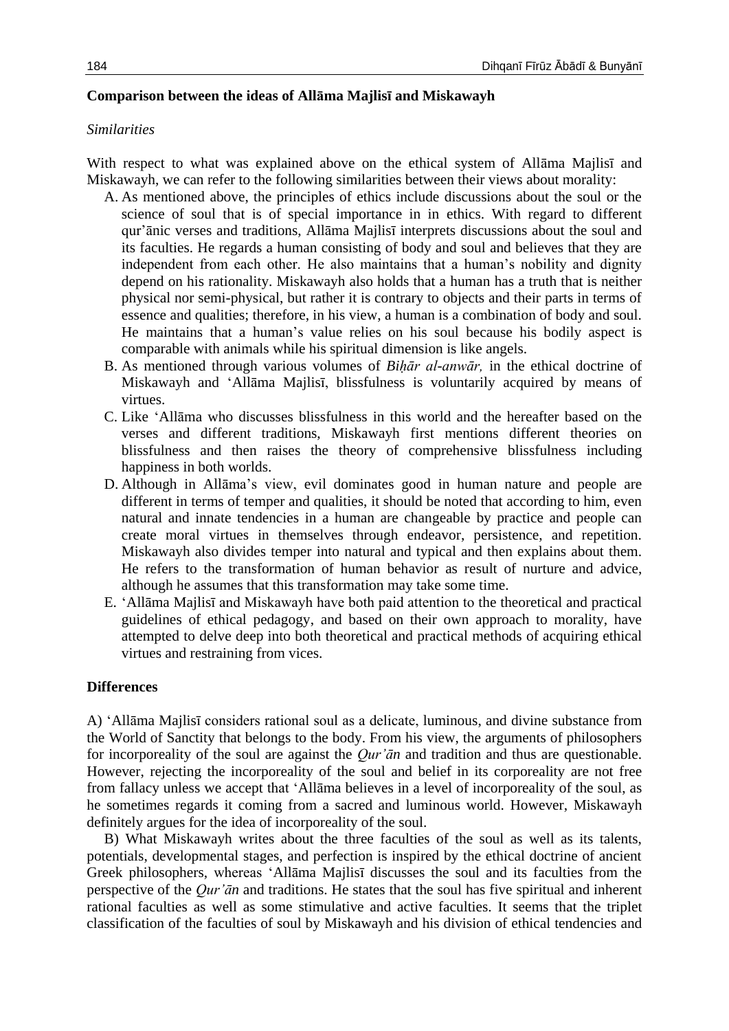## **Comparison between the ideas of Allāma Majlisī and Miskawayh**

## *Similarities*

With respect to what was explained above on the ethical system of Allāma Majlisī and Miskawayh, we can refer to the following similarities between their views about morality:

- A. As mentioned above, the principles of ethics include discussions about the soul or the science of soul that is of special importance in in ethics. With regard to different qur'ānic verses and traditions, Allāma Majlisī interprets discussions about the soul and its faculties. He regards a human consisting of body and soul and believes that they are independent from each other. He also maintains that a human's nobility and dignity depend on his rationality. Miskawayh also holds that a human has a truth that is neither physical nor semi-physical, but rather it is contrary to objects and their parts in terms of essence and qualities; therefore, in his view, a human is a combination of body and soul. He maintains that a human's value relies on his soul because his bodily aspect is comparable with animals while his spiritual dimension is like angels.
- B. As mentioned through various volumes of *Biḥār al-anwār,* in the ethical doctrine of Miskawayh and 'Allāma Majlisī, blissfulness is voluntarily acquired by means of virtues.
- C. Like 'Allāma who discusses blissfulness in this world and the hereafter based on the verses and different traditions, Miskawayh first mentions different theories on blissfulness and then raises the theory of comprehensive blissfulness including happiness in both worlds.
- D. Although in Allāma's view, evil dominates good in human nature and people are different in terms of temper and qualities, it should be noted that according to him, even natural and innate tendencies in a human are changeable by practice and people can create moral virtues in themselves through endeavor, persistence, and repetition. Miskawayh also divides temper into natural and typical and then explains about them. He refers to the transformation of human behavior as result of nurture and advice, although he assumes that this transformation may take some time.
- E. 'Allāma Majlisī and Miskawayh have both paid attention to the theoretical and practical guidelines of ethical pedagogy, and based on their own approach to morality, have attempted to delve deep into both theoretical and practical methods of acquiring ethical virtues and restraining from vices.

## **Differences**

A) 'Allāma Majlisī considers rational soul as a delicate, luminous, and divine substance from the World of Sanctity that belongs to the body. From his view, the arguments of philosophers for incorporeality of the soul are against the *Qur'ān* and tradition and thus are questionable. However, rejecting the incorporeality of the soul and belief in its corporeality are not free from fallacy unless we accept that 'Allāma believes in a level of incorporeality of the soul, as he sometimes regards it coming from a sacred and luminous world. However, Miskawayh definitely argues for the idea of incorporeality of the soul.

B) What Miskawayh writes about the three faculties of the soul as well as its talents, potentials, developmental stages, and perfection is inspired by the ethical doctrine of ancient Greek philosophers, whereas 'Allāma Majlisī discusses the soul and its faculties from the perspective of the *Qur'ān* and traditions. He states that the soul has five spiritual and inherent rational faculties as well as some stimulative and active faculties. It seems that the triplet classification of the faculties of soul by Miskawayh and his division of ethical tendencies and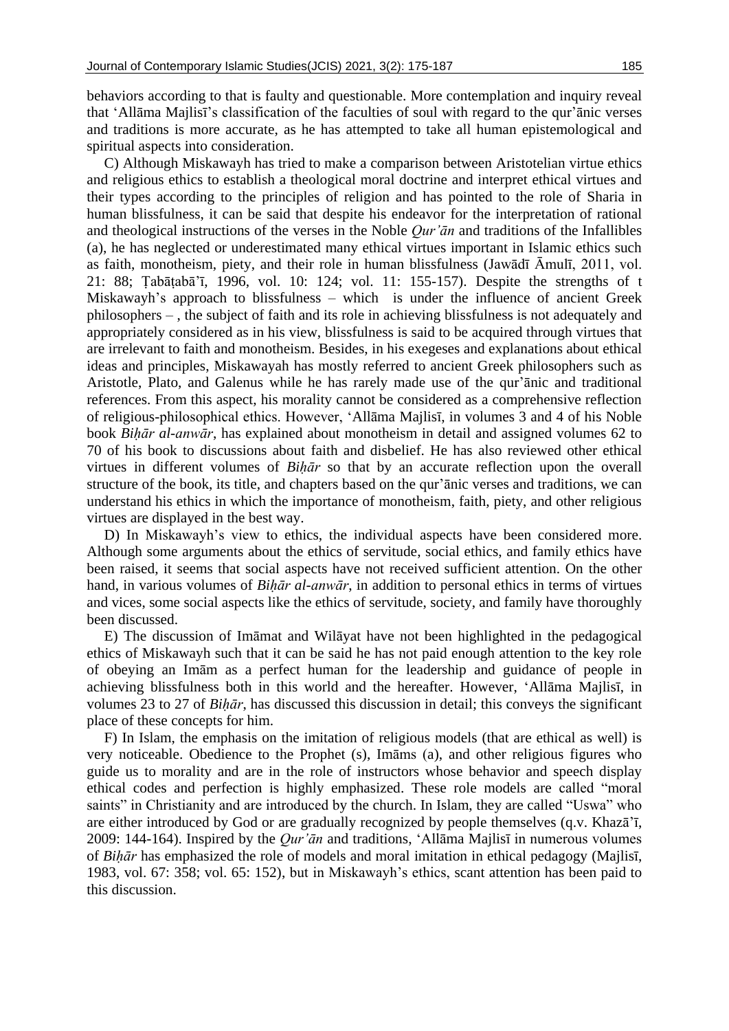behaviors according to that is faulty and questionable. More contemplation and inquiry reveal that 'Allāma Majlisī's classification of the faculties of soul with regard to the qur'ānic verses and traditions is more accurate, as he has attempted to take all human epistemological and spiritual aspects into consideration.

C) Although Miskawayh has tried to make a comparison between Aristotelian virtue ethics and religious ethics to establish a theological moral doctrine and interpret ethical virtues and their types according to the principles of religion and has pointed to the role of Sharia in human blissfulness, it can be said that despite his endeavor for the interpretation of rational and theological instructions of the verses in the Noble *Qur'ān* and traditions of the Infallibles (a), he has neglected or underestimated many ethical virtues important in Islamic ethics such as faith, monotheism, piety, and their role in human blissfulness (Jawādī Āmulī, 2011, vol. 21: 88; Ṭabāṭabā'ī, 1996, vol. 10: 124; vol. 11: 155-157). Despite the strengths of t Miskawayh's approach to blissfulness – which is under the influence of ancient Greek philosophers – , the subject of faith and its role in achieving blissfulness is not adequately and appropriately considered as in his view, blissfulness is said to be acquired through virtues that are irrelevant to faith and monotheism. Besides, in his exegeses and explanations about ethical ideas and principles, Miskawayah has mostly referred to ancient Greek philosophers such as Aristotle, Plato, and Galenus while he has rarely made use of the qur'ānic and traditional references. From this aspect, his morality cannot be considered as a comprehensive reflection of religious-philosophical ethics. However, 'Allāma Majlisī, in volumes 3 and 4 of his Noble book *Biḥār al-anwār*, has explained about monotheism in detail and assigned volumes 62 to 70 of his book to discussions about faith and disbelief. He has also reviewed other ethical virtues in different volumes of *Biḥār* so that by an accurate reflection upon the overall structure of the book, its title, and chapters based on the qur'ānic verses and traditions, we can understand his ethics in which the importance of monotheism, faith, piety, and other religious virtues are displayed in the best way.

D) In Miskawayh's view to ethics, the individual aspects have been considered more. Although some arguments about the ethics of servitude, social ethics, and family ethics have been raised, it seems that social aspects have not received sufficient attention. On the other hand, in various volumes of *Biḥār al-anwār*, in addition to personal ethics in terms of virtues and vices, some social aspects like the ethics of servitude, society, and family have thoroughly been discussed.

E) The discussion of Imāmat and Wilāyat have not been highlighted in the pedagogical ethics of Miskawayh such that it can be said he has not paid enough attention to the key role of obeying an Imām as a perfect human for the leadership and guidance of people in achieving blissfulness both in this world and the hereafter. However, 'Allāma Majlisī, in volumes 23 to 27 of *Biḥār*, has discussed this discussion in detail; this conveys the significant place of these concepts for him.

F) In Islam, the emphasis on the imitation of religious models (that are ethical as well) is very noticeable. Obedience to the Prophet (s), Imāms (a), and other religious figures who guide us to morality and are in the role of instructors whose behavior and speech display ethical codes and perfection is highly emphasized. These role models are called "moral saints" in Christianity and are introduced by the church. In Islam, they are called "Uswa" who are either introduced by God or are gradually recognized by people themselves (q.v. Khazā'ī, 2009: 144-164). Inspired by the *Qur'ān* and traditions, 'Allāma Majlisī in numerous volumes of *Biḥār* has emphasized the role of models and moral imitation in ethical pedagogy (Majlisī, 1983, vol. 67: 358; vol. 65: 152), but in Miskawayh's ethics, scant attention has been paid to this discussion.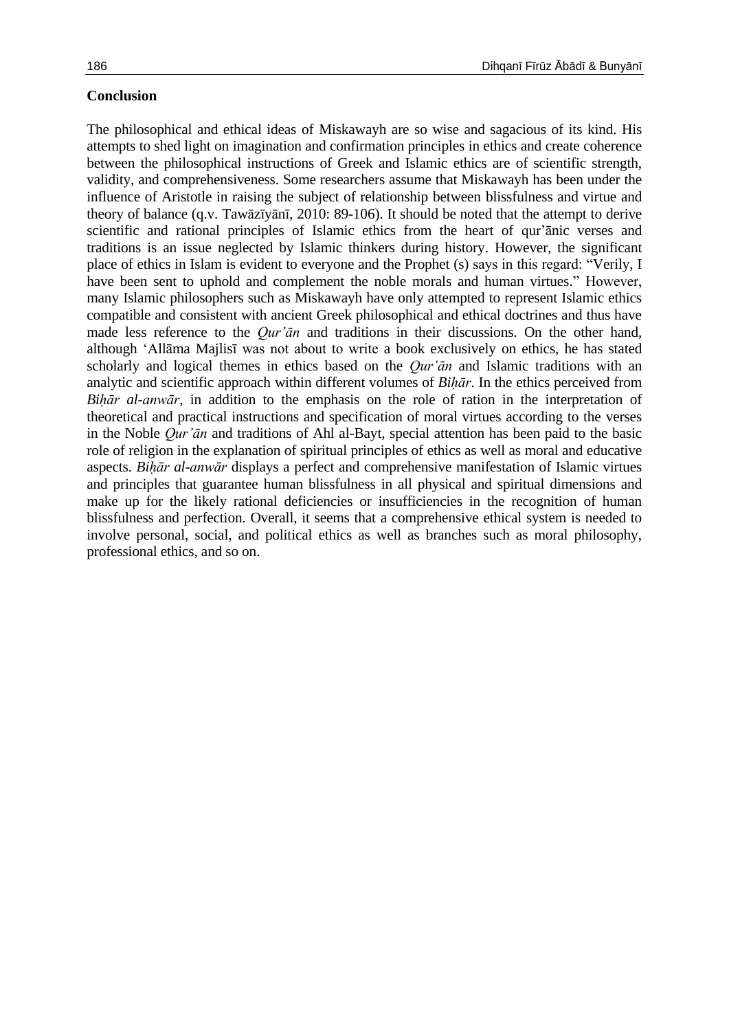#### **Conclusion**

The philosophical and ethical ideas of Miskawayh are so wise and sagacious of its kind. His attempts to shed light on imagination and confirmation principles in ethics and create coherence between the philosophical instructions of Greek and Islamic ethics are of scientific strength, validity, and comprehensiveness. Some researchers assume that Miskawayh has been under the influence of Aristotle in raising the subject of relationship between blissfulness and virtue and theory of balance (q.v. Tawāzīyānī, 2010: 89-106). It should be noted that the attempt to derive scientific and rational principles of Islamic ethics from the heart of qur'ānic verses and traditions is an issue neglected by Islamic thinkers during history. However, the significant place of ethics in Islam is evident to everyone and the Prophet (s) says in this regard: "Verily, I have been sent to uphold and complement the noble morals and human virtues." However, many Islamic philosophers such as Miskawayh have only attempted to represent Islamic ethics compatible and consistent with ancient Greek philosophical and ethical doctrines and thus have made less reference to the *Qur'ān* and traditions in their discussions. On the other hand, although 'Allāma Majlisī was not about to write a book exclusively on ethics, he has stated scholarly and logical themes in ethics based on the *Qur'ān* and Islamic traditions with an analytic and scientific approach within different volumes of *Biḥār*. In the ethics perceived from *Biḥār al-anwār*, in addition to the emphasis on the role of ration in the interpretation of theoretical and practical instructions and specification of moral virtues according to the verses in the Noble *Qur'ān* and traditions of Ahl al-Bayt, special attention has been paid to the basic role of religion in the explanation of spiritual principles of ethics as well as moral and educative aspects. *Biḥār al-anwār* displays a perfect and comprehensive manifestation of Islamic virtues and principles that guarantee human blissfulness in all physical and spiritual dimensions and make up for the likely rational deficiencies or insufficiencies in the recognition of human blissfulness and perfection. Overall, it seems that a comprehensive ethical system is needed to involve personal, social, and political ethics as well as branches such as moral philosophy, professional ethics, and so on.